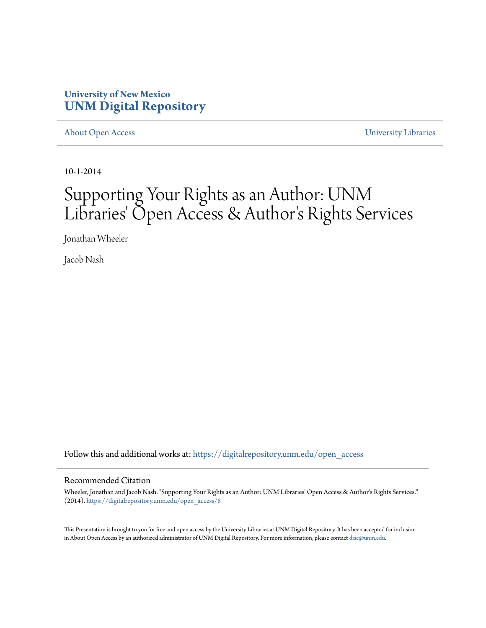#### **University of New Mexico [UNM Digital Repository](https://digitalrepository.unm.edu?utm_source=digitalrepository.unm.edu%2Fopen_access%2F8&utm_medium=PDF&utm_campaign=PDFCoverPages)**

[About Open Access](https://digitalrepository.unm.edu/open_access?utm_source=digitalrepository.unm.edu%2Fopen_access%2F8&utm_medium=PDF&utm_campaign=PDFCoverPages) [University Libraries](https://digitalrepository.unm.edu/libraries?utm_source=digitalrepository.unm.edu%2Fopen_access%2F8&utm_medium=PDF&utm_campaign=PDFCoverPages)

10-1-2014

#### Supporting Your Rights as an Author: UNM Libraries' Open Access & Author's Rights Services

Jonathan Wheeler

Jacob Nash

Follow this and additional works at: [https://digitalrepository.unm.edu/open\\_access](https://digitalrepository.unm.edu/open_access?utm_source=digitalrepository.unm.edu%2Fopen_access%2F8&utm_medium=PDF&utm_campaign=PDFCoverPages)

#### Recommended Citation

Wheeler, Jonathan and Jacob Nash. "Supporting Your Rights as an Author: UNM Libraries' Open Access & Author's Rights Services." (2014). [https://digitalrepository.unm.edu/open\\_access/8](https://digitalrepository.unm.edu/open_access/8?utm_source=digitalrepository.unm.edu%2Fopen_access%2F8&utm_medium=PDF&utm_campaign=PDFCoverPages)

This Presentation is brought to you for free and open access by the University Libraries at UNM Digital Repository. It has been accepted for inclusion in About Open Access by an authorized administrator of UNM Digital Repository. For more information, please contact [disc@unm.edu](mailto:disc@unm.edu).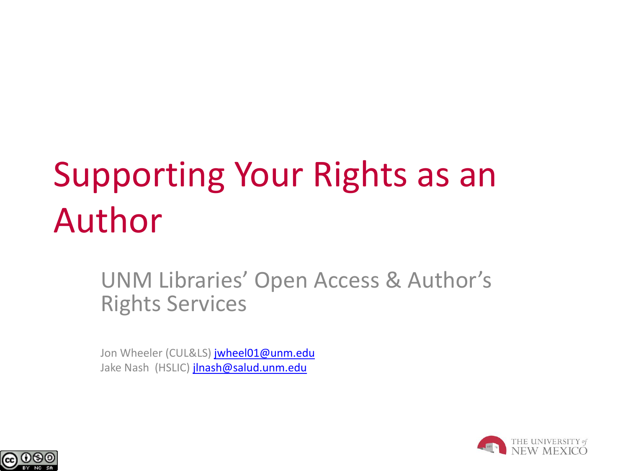# Supporting Your Rights as an Author

UNM Libraries' Open Access & Author's Rights Services

Jon Wheeler (CUL&LS) [jwheel01@unm.edu](mailto:jwheel01@unm.edu) Jake Nash (HSLIC) [jlnash@salud.unm.edu](mailto:jlnash@salud.unm.edu)



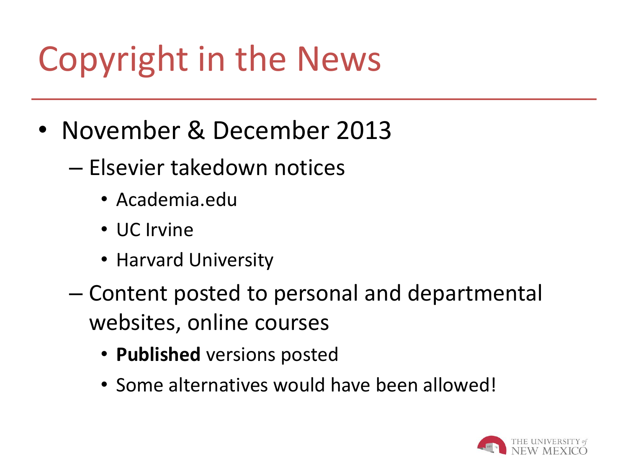# Copyright in the News

- November & December 2013
	- Elsevier takedown notices
		- Academia.edu
		- UC Irvine
		- Harvard University
	- Content posted to personal and departmental websites, online courses
		- **Published** versions posted
		- Some alternatives would have been allowed!

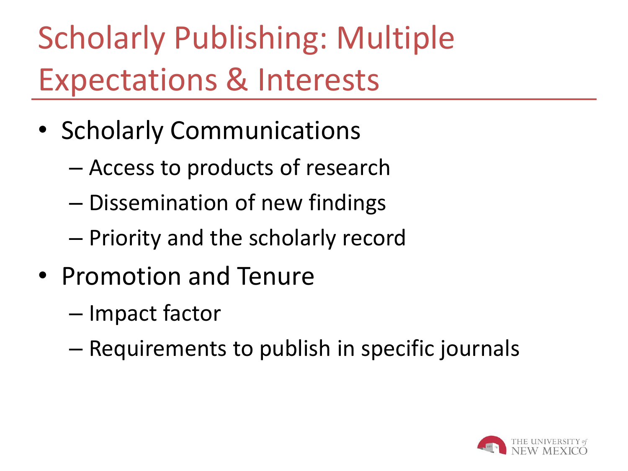Scholarly Publishing: Multiple Expectations & Interests

- Scholarly Communications
	- Access to products of research
	- Dissemination of new findings
	- Priority and the scholarly record
- Promotion and Tenure
	- Impact factor
	- Requirements to publish in specific journals

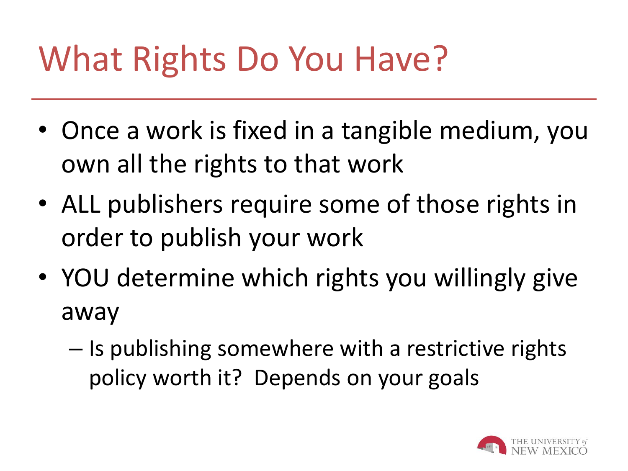## What Rights Do You Have?

- Once a work is fixed in a tangible medium, you own all the rights to that work
- ALL publishers require some of those rights in order to publish your work
- YOU determine which rights you willingly give away
	- Is publishing somewhere with a restrictive rights policy worth it? Depends on your goals

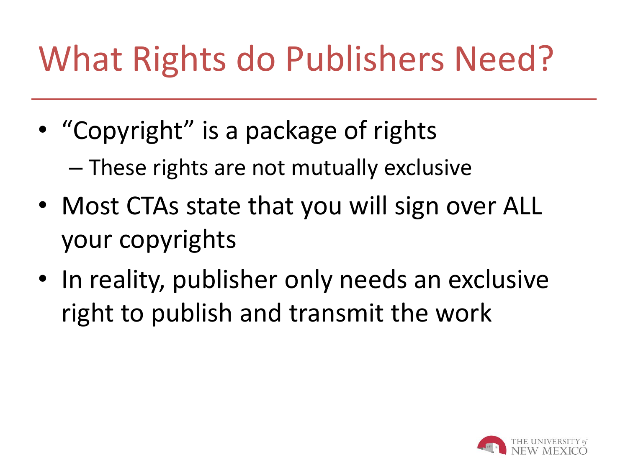# What Rights do Publishers Need?

- "Copyright" is a package of rights – These rights are not mutually exclusive
- Most CTAs state that you will sign over ALL your copyrights
- In reality, publisher only needs an exclusive right to publish and transmit the work

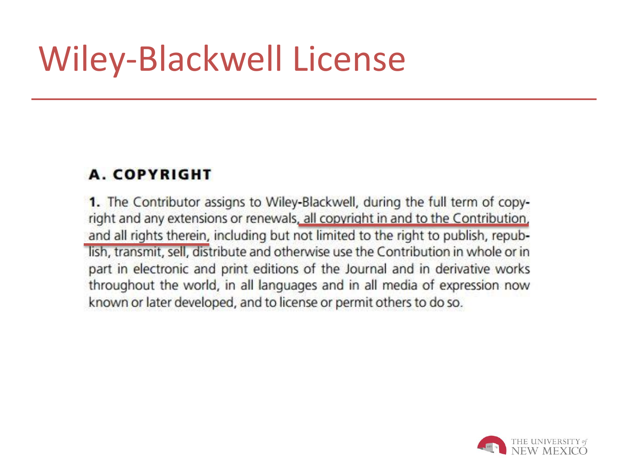## Wiley-Blackwell License

#### **A. COPYRIGHT**

1. The Contributor assigns to Wiley-Blackwell, during the full term of copyright and any extensions or renewals, all copyright in and to the Contribution. and all rights therein, including but not limited to the right to publish, republish, transmit, sell, distribute and otherwise use the Contribution in whole or in part in electronic and print editions of the Journal and in derivative works throughout the world, in all languages and in all media of expression now known or later developed, and to license or permit others to do so.

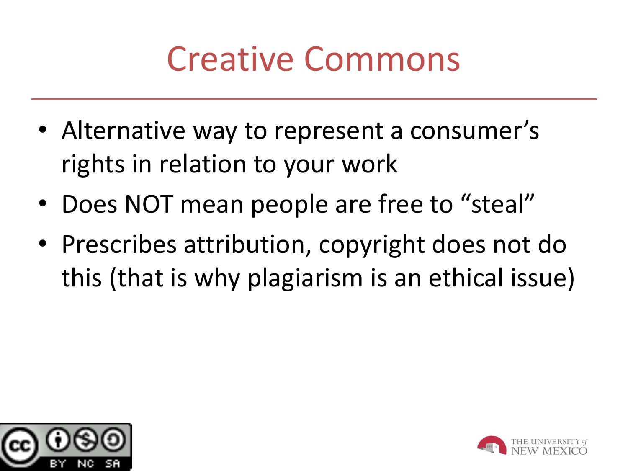#### Creative Commons

- Alternative way to represent a consumer's rights in relation to your work
- Does NOT mean people are free to "steal"
- Prescribes attribution, copyright does not do this (that is why plagiarism is an ethical issue)



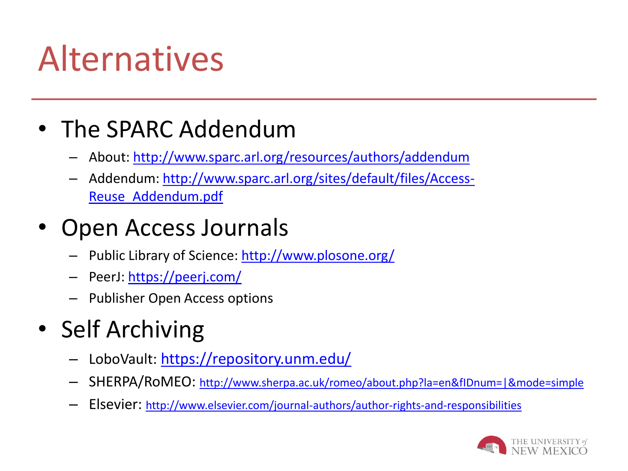## Alternatives

#### • The SPARC Addendum

- About: <http://www.sparc.arl.org/resources/authors/addendum>
- Addendum: [http://www.sparc.arl.org/sites/default/files/Access-](http://www.sparc.arl.org/sites/default/files/Access-Reuse_Addendum.pdf)[Reuse\\_Addendum.pdf](http://www.sparc.arl.org/sites/default/files/Access-Reuse_Addendum.pdf)

#### • Open Access Journals

- Public Library of Science: <http://www.plosone.org/>
- PeerJ: https://peerj.com/
- Publisher Open Access options
- Self Archiving
	- LoboVault: <https://repository.unm.edu/>
	- SHERPA/RoMEO: http://www.sherpa.ac.uk/romeo/about.php?la=en&fIDnum=|&mode=simple
	- Elsevier: <http://www.elsevier.com/journal-authors/author-rights-and-responsibilities>